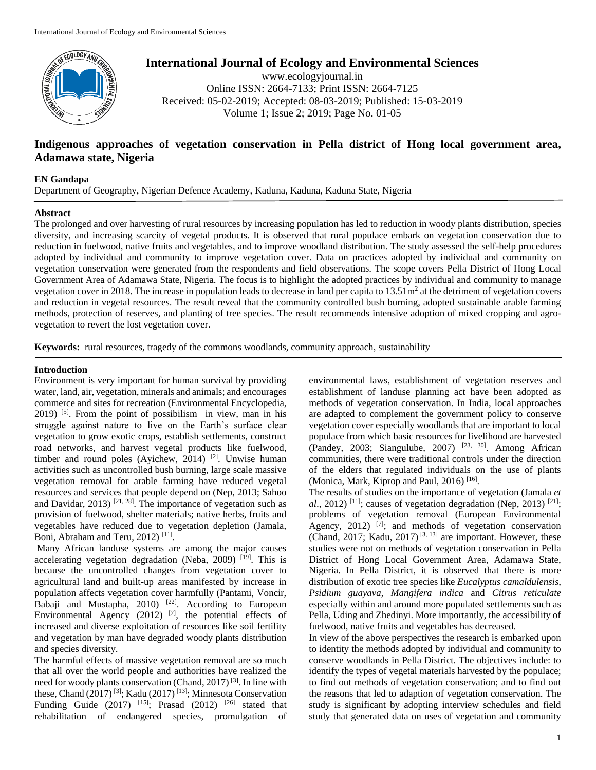

# **International Journal of Ecology and Environmental Sciences**

www.ecologyjournal.in Online ISSN: 2664-7133; Print ISSN: 2664-7125 Received: 05-02-2019; Accepted: 08-03-2019; Published: 15-03-2019 Volume 1; Issue 2; 2019; Page No. 01-05

# **Indigenous approaches of vegetation conservation in Pella district of Hong local government area, Adamawa state, Nigeria**

# **EN Gandapa**

Department of Geography, Nigerian Defence Academy, Kaduna, Kaduna, Kaduna State, Nigeria

#### **Abstract**

The prolonged and over harvesting of rural resources by increasing population has led to reduction in woody plants distribution, species diversity, and increasing scarcity of vegetal products. It is observed that rural populace embark on vegetation conservation due to reduction in fuelwood, native fruits and vegetables, and to improve woodland distribution. The study assessed the self-help procedures adopted by individual and community to improve vegetation cover. Data on practices adopted by individual and community on vegetation conservation were generated from the respondents and field observations. The scope covers Pella District of Hong Local Government Area of Adamawa State, Nigeria. The focus is to highlight the adopted practices by individual and community to manage vegetation cover in 2018. The increase in population leads to decrease in land per capita to  $13.51\,\text{m}^2$  at the detriment of vegetation covers and reduction in vegetal resources. The result reveal that the community controlled bush burning, adopted sustainable arable farming methods, protection of reserves, and planting of tree species. The result recommends intensive adoption of mixed cropping and agrovegetation to revert the lost vegetation cover.

**Keywords:** rural resources, tragedy of the commons woodlands, community approach, sustainability

# **Introduction**

Environment is very important for human survival by providing water, land, air, vegetation, minerals and animals; and encourages commerce and sites for recreation (Environmental Encyclopedia,  $2019$ ) <sup>[5]</sup>. From the point of possibilism in view, man in his struggle against nature to live on the Earth's surface clear vegetation to grow exotic crops, establish settlements, construct road networks, and harvest vegetal products like fuelwood, timber and round poles (Ayichew, 2014)<sup>[2]</sup>. Unwise human activities such as uncontrolled bush burning, large scale massive vegetation removal for arable farming have reduced vegetal resources and services that people depend on (Nep, 2013; Sahoo and Davidar,  $2013$ )<sup>[21, 28]</sup>. The importance of vegetation such as provision of fuelwood, shelter materials; native herbs, fruits and vegetables have reduced due to vegetation depletion (Jamala, Boni, Abraham and Teru, 2012)<sup>[11]</sup>.

Many African landuse systems are among the major causes accelerating vegetation degradation (Neba, 2009)<sup>[19]</sup>. This is because the uncontrolled changes from vegetation cover to agricultural land and built-up areas manifested by increase in population affects vegetation cover harmfully (Pantami, Voncir, Babaji and Mustapha,  $2010$ )<sup>[22]</sup>. According to European Environmental Agency  $(2012)$ <sup>[7]</sup>, the potential effects of increased and diverse exploitation of resources like soil fertility and vegetation by man have degraded woody plants distribution and species diversity.

The harmful effects of massive vegetation removal are so much that all over the world people and authorities have realized the need for woody plants conservation (Chand, 2017)<sup>[3]</sup>. In line with these, Chand (2017)<sup>[3]</sup>; Kadu (2017)<sup>[13]</sup>; Minnesota Conservation Funding Guide  $(2017)$  <sup>[15]</sup>; Prasad  $(2012)$  <sup>[26]</sup> stated that rehabilitation of endangered species, promulgation of

environmental laws, establishment of vegetation reserves and establishment of landuse planning act have been adopted as methods of vegetation conservation. In India, local approaches are adapted to complement the government policy to conserve vegetation cover especially woodlands that are important to local populace from which basic resources for livelihood are harvested (Pandey, 2003; Siangulube, 2007)<sup>[23, 30]</sup>. Among African communities, there were traditional controls under the direction of the elders that regulated individuals on the use of plants (Monica, Mark, Kiprop and Paul, 2016)<sup>[16]</sup>.

The results of studies on the importance of vegetation (Jamala *et*   $al., 2012)$ <sup>[11]</sup>; causes of vegetation degradation (Nep, 2013)<sup>[21]</sup>; problems of vegetation removal (European Environmental Agency,  $2012$ ) <sup>[7]</sup>; and methods of vegetation conservation (Chand, 2017; Kadu, 2017)<sup>[3, 13]</sup> are important. However, these studies were not on methods of vegetation conservation in Pella District of Hong Local Government Area, Adamawa State, Nigeria. In Pella District, it is observed that there is more distribution of exotic tree species like *Eucalyptus camaldulensis*, *Psidium guayava*, *Mangifera indica* and *Citrus reticulate* especially within and around more populated settlements such as Pella, Uding and Zhedinyi. More importantly, the accessibility of fuelwood, native fruits and vegetables has decreased.

In view of the above perspectives the research is embarked upon to identity the methods adopted by individual and community to conserve woodlands in Pella District. The objectives include: to identify the types of vegetal materials harvested by the populace; to find out methods of vegetation conservation; and to find out the reasons that led to adaption of vegetation conservation. The study is significant by adopting interview schedules and field study that generated data on uses of vegetation and community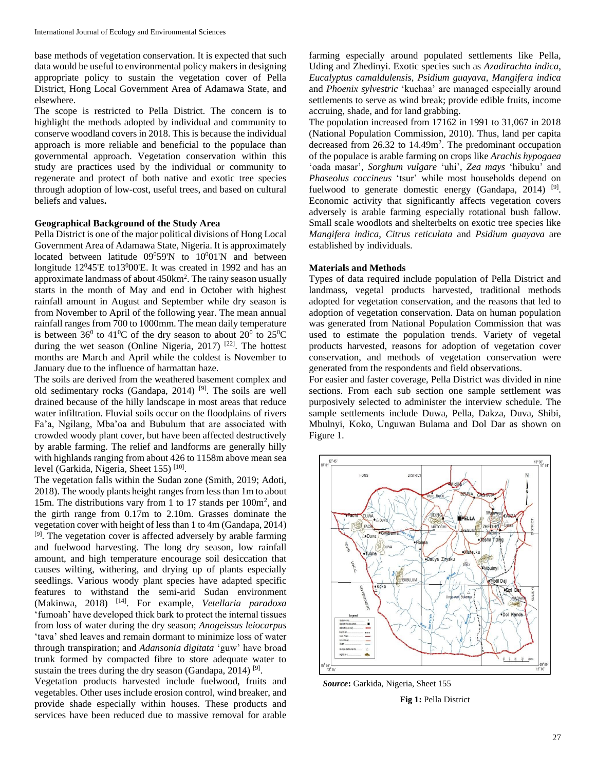base methods of vegetation conservation. It is expected that such data would be useful to environmental policy makers in designing appropriate policy to sustain the vegetation cover of Pella District, Hong Local Government Area of Adamawa State, and elsewhere.

The scope is restricted to Pella District. The concern is to highlight the methods adopted by individual and community to conserve woodland covers in 2018. This is because the individual approach is more reliable and beneficial to the populace than governmental approach. Vegetation conservation within this study are practices used by the individual or community to regenerate and protect of both native and exotic tree species through adoption of low-cost, useful trees, and based on cultural beliefs and values**.**

# **Geographical Background of the Study Area**

Pella District is one of the major political divisions of Hong Local Government Area of Adamawa State, Nigeria. It is approximately located between latitude  $09^059'N$  to  $10^001'N$  and between longitude 12<sup>0</sup>45'E to13<sup>0</sup>00'E. It was created in 1992 and has an approximate landmass of about 450km<sup>2</sup> . The rainy season usually starts in the month of May and end in October with highest rainfall amount in August and September while dry season is from November to April of the following year. The mean annual rainfall ranges from 700 to 1000mm. The mean daily temperature is between  $36^0$  to  $41^0C$  of the dry season to about  $20^0$  to  $25^0C$ during the wet season (Online Nigeria, 2017)<sup>[22]</sup>. The hottest months are March and April while the coldest is November to January due to the influence of harmattan haze.

The soils are derived from the weathered basement complex and old sedimentary rocks (Gandapa, 2014)<sup>[9]</sup>. The soils are well drained because of the hilly landscape in most areas that reduce water infiltration. Fluvial soils occur on the floodplains of rivers Fa'a, Ngilang, Mba'oa and Bubulum that are associated with crowded woody plant cover, but have been affected destructively by arable farming. The relief and landforms are generally hilly with highlands ranging from about 426 to 1158m above mean sea level (Garkida, Nigeria, Sheet 155)<sup>[10]</sup>.

The vegetation falls within the Sudan zone (Smith, 2019; Adoti, 2018). The woody plants height ranges from less than 1m to about 15m. The distributions vary from 1 to 17 stands per 100m<sup>2</sup> , and the girth range from 0.17m to 2.10m. Grasses dominate the vegetation cover with height of less than 1 to 4m (Gandapa, 2014) <sup>[9]</sup>. The vegetation cover is affected adversely by arable farming and fuelwood harvesting. The long dry season, low rainfall amount, and high temperature encourage soil desiccation that causes wilting, withering, and drying up of plants especially seedlings. Various woody plant species have adapted specific features to withstand the semi-arid Sudan environment (Makinwa, 2018) [14] . For example, *Vetellaria paradoxa* 'fumoah' have developed thick bark to protect the internal tissues from loss of water during the dry season; *Anogeissus leiocarpus* 'tava' shed leaves and remain dormant to minimize loss of water through transpiration; and *Adansonia digitata* 'guw' have broad trunk formed by compacted fibre to store adequate water to sustain the trees during the dry season (Gandapa, 2014)<sup>[9]</sup>.

Vegetation products harvested include fuelwood, fruits and vegetables. Other uses include erosion control, wind breaker, and provide shade especially within houses. These products and services have been reduced due to massive removal for arable

farming especially around populated settlements like Pella, Uding and Zhedinyi. Exotic species such as *Azadirachta indica*, *Eucalyptus camaldulensis*, *Psidium guayava*, *Mangifera indica* and *Phoenix sylvestric* 'kuchaa' are managed especially around settlements to serve as wind break; provide edible fruits, income accruing, shade, and for land grabbing.

The population increased from 17162 in 1991 to 31,067 in 2018 (National Population Commission, 2010). Thus, land per capita decreased from 26.32 to 14.49m<sup>2</sup>. The predominant occupation of the populace is arable farming on crops like *Arachis hypogaea* 'oada masar', *Sorghum vulgare* 'uhi', *Zea mays* 'hibuku' and *Phaseolus coccineus* 'tsur' while most households depend on fuelwood to generate domestic energy (Gandapa, 2014)  $[9]$ . Economic activity that significantly affects vegetation covers adversely is arable farming especially rotational bush fallow. Small scale woodlots and shelterbelts on exotic tree species like *Mangifera indica*, *Citrus reticulata* and *Psidium guayava* are established by individuals.

#### **Materials and Methods**

Types of data required include population of Pella District and landmass, vegetal products harvested, traditional methods adopted for vegetation conservation, and the reasons that led to adoption of vegetation conservation. Data on human population was generated from National Population Commission that was used to estimate the population trends. Variety of vegetal products harvested, reasons for adoption of vegetation cover conservation, and methods of vegetation conservation were generated from the respondents and field observations.

For easier and faster coverage, Pella District was divided in nine sections. From each sub section one sample settlement was purposively selected to administer the interview schedule. The sample settlements include Duwa, Pella, Dakza, Duva, Shibi, Mbulnyi, Koko, Unguwan Bulama and Dol Dar as shown on Figure 1.



*Source***:** Garkida, Nigeria, Sheet 155 **Fig 1:** Pella District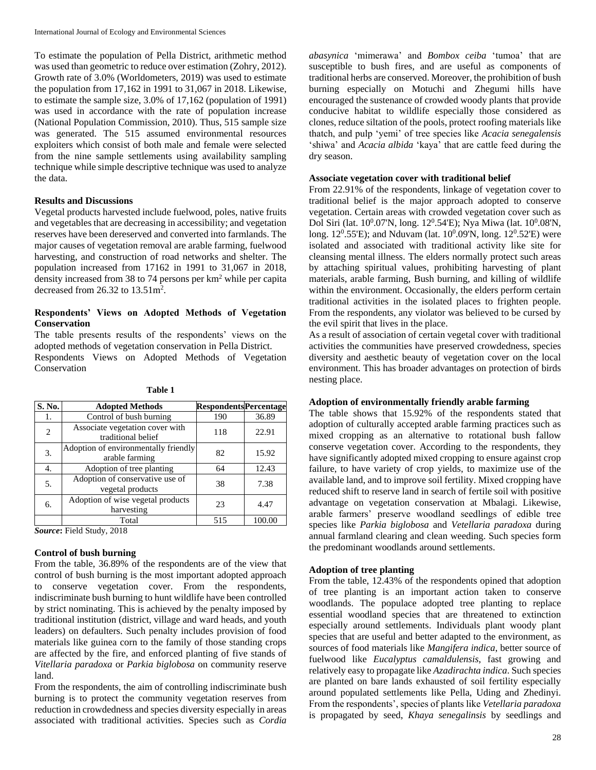To estimate the population of Pella District, arithmetic method was used than geometric to reduce over estimation (Zohry, 2012). Growth rate of 3.0% (Worldometers, 2019) was used to estimate the population from 17,162 in 1991 to 31,067 in 2018. Likewise, to estimate the sample size, 3.0% of 17,162 (population of 1991) was used in accordance with the rate of population increase (National Population Commission, 2010). Thus, 515 sample size was generated. The 515 assumed environmental resources exploiters which consist of both male and female were selected from the nine sample settlements using availability sampling technique while simple descriptive technique was used to analyze the data.

#### **Results and Discussions**

Vegetal products harvested include fuelwood, poles, native fruits and vegetables that are decreasing in accessibility; and vegetation reserves have been dereserved and converted into farmlands. The major causes of vegetation removal are arable farming, fuelwood harvesting, and construction of road networks and shelter. The population increased from 17162 in 1991 to 31,067 in 2018, density increased from 38 to 74 persons per km<sup>2</sup> while per capita decreased from  $26.32$  to  $13.51$ m<sup>2</sup>.

# **Respondents' Views on Adopted Methods of Vegetation Conservation**

The table presents results of the respondents' views on the adopted methods of vegetation conservation in Pella District.

Respondents Views on Adopted Methods of Vegetation Conservation

| S. No.         | <b>Adopted Methods</b>                                 | <b>RespondentsPercentage</b> |        |
|----------------|--------------------------------------------------------|------------------------------|--------|
| 1.             | Control of bush burning                                | 190                          | 36.89  |
| $\overline{c}$ | Associate vegetation cover with<br>traditional belief  | 118                          | 22.91  |
| 3.             | Adoption of environmentally friendly<br>arable farming | 82                           | 15.92  |
| 4.             | Adoption of tree planting                              | 64                           | 12.43  |
| 5.             | Adoption of conservative use of<br>vegetal products    | 38                           | 7.38   |
| 6.             | Adoption of wise vegetal products<br>harvesting        | 23                           | 4.47   |
|                | Total                                                  | 515                          | 100.00 |

**Table 1**

*Source***:** Field Study, 2018

#### **Control of bush burning**

From the table, 36.89% of the respondents are of the view that control of bush burning is the most important adopted approach to conserve vegetation cover. From the respondents, indiscriminate bush burning to hunt wildlife have been controlled by strict nominating. This is achieved by the penalty imposed by traditional institution (district, village and ward heads, and youth leaders) on defaulters. Such penalty includes provision of food materials like guinea corn to the family of those standing crops are affected by the fire, and enforced planting of five stands of *Vitellaria paradoxa* or *Parkia biglobosa* on community reserve land.

From the respondents, the aim of controlling indiscriminate bush burning is to protect the community vegetation reserves from reduction in crowdedness and species diversity especially in areas associated with traditional activities. Species such as *Cordia*  *abasynica* 'mimerawa' and *Bombox ceiba* 'tumoa' that are susceptible to bush fires, and are useful as components of traditional herbs are conserved. Moreover, the prohibition of bush burning especially on Motuchi and Zhegumi hills have encouraged the sustenance of crowded woody plants that provide conducive habitat to wildlife especially those considered as clones, reduce siltation of the pools, protect roofing materials like thatch, and pulp 'yemi' of tree species like *Acacia senegalensis* 'shiwa' and *Acacia albida* 'kaya' that are cattle feed during the dry season.

#### **Associate vegetation cover with traditional belief**

From 22.91% of the respondents, linkage of vegetation cover to traditional belief is the major approach adopted to conserve vegetation. Certain areas with crowded vegetation cover such as Dol Siri (lat.  $10^0.07'N$ , long.  $12^0.54'E$ ); Nya Miwa (lat.  $10^0.08'N$ , long.  $12^0.55'E$ ; and Nduvam (lat.  $10^0.09'N$ , long.  $12^0.52'E$ ) were isolated and associated with traditional activity like site for cleansing mental illness. The elders normally protect such areas by attaching spiritual values, prohibiting harvesting of plant materials, arable farming, Bush burning, and killing of wildlife within the environment. Occasionally, the elders perform certain traditional activities in the isolated places to frighten people. From the respondents, any violator was believed to be cursed by the evil spirit that lives in the place.

As a result of association of certain vegetal cover with traditional activities the communities have preserved crowdedness, species diversity and aesthetic beauty of vegetation cover on the local environment. This has broader advantages on protection of birds nesting place.

# **Adoption of environmentally friendly arable farming**

The table shows that 15.92% of the respondents stated that adoption of culturally accepted arable farming practices such as mixed cropping as an alternative to rotational bush fallow conserve vegetation cover. According to the respondents, they have significantly adopted mixed cropping to ensure against crop failure, to have variety of crop yields, to maximize use of the available land, and to improve soil fertility. Mixed cropping have reduced shift to reserve land in search of fertile soil with positive advantage on vegetation conservation at Mbalagi. Likewise, arable farmers' preserve woodland seedlings of edible tree species like *Parkia biglobosa* and *Vetellaria paradoxa* during annual farmland clearing and clean weeding. Such species form the predominant woodlands around settlements.

# **Adoption of tree planting**

From the table, 12.43% of the respondents opined that adoption of tree planting is an important action taken to conserve woodlands. The populace adopted tree planting to replace essential woodland species that are threatened to extinction especially around settlements. Individuals plant woody plant species that are useful and better adapted to the environment, as sources of food materials like *Mangifera indica*, better source of fuelwood like *Eucalyptus camaldulensis*, fast growing and relatively easy to propagate like *Azadirachta indica*. Such species are planted on bare lands exhausted of soil fertility especially around populated settlements like Pella, Uding and Zhedinyi. From the respondents', species of plants like *Vetellaria paradoxa*  is propagated by seed, *Khaya senegalinsis* by seedlings and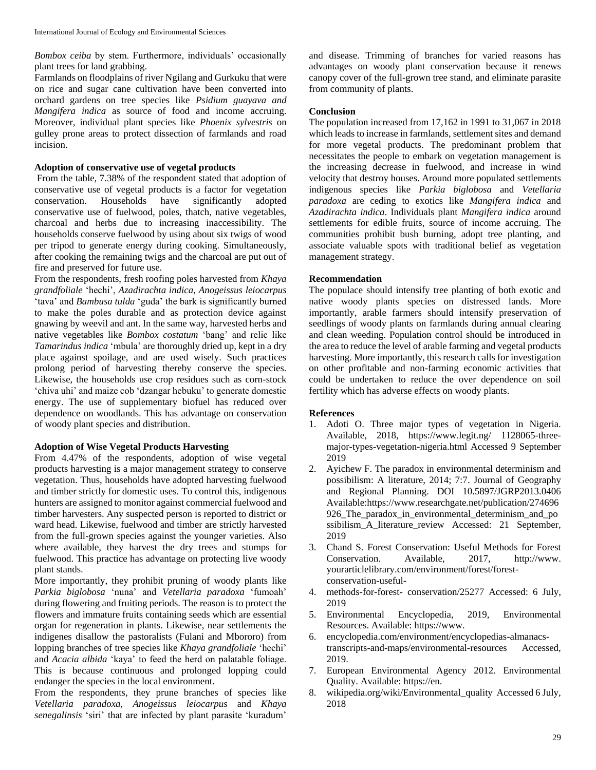*Bombox ceiba* by stem. Furthermore, individuals' occasionally plant trees for land grabbing.

Farmlands on floodplains of river Ngilang and Gurkuku that were on rice and sugar cane cultivation have been converted into orchard gardens on tree species like *Psidium guayava and Mangifera indica* as source of food and income accruing. Moreover, individual plant species like *Phoenix sylvestris* on gulley prone areas to protect dissection of farmlands and road incision.

# **Adoption of conservative use of vegetal products**

From the table, 7.38% of the respondent stated that adoption of conservative use of vegetal products is a factor for vegetation conservation. Households have significantly adopted conservative use of fuelwood, poles, thatch, native vegetables, charcoal and herbs due to increasing inaccessibility. The households conserve fuelwood by using about six twigs of wood per tripod to generate energy during cooking. Simultaneously, after cooking the remaining twigs and the charcoal are put out of fire and preserved for future use.

From the respondents, fresh roofing poles harvested from *Khaya grandfoliale* 'hechi', *Azadirachta indica*, *Anogeissus leiocarpus* 'tava' and *Bambusa tulda* 'guda' the bark is significantly burned to make the poles durable and as protection device against gnawing by weevil and ant. In the same way, harvested herbs and native vegetables like *Bombox costatum* 'bang' and relic like *Tamarindus indica* 'mbula' are thoroughly dried up, kept in a dry place against spoilage, and are used wisely. Such practices prolong period of harvesting thereby conserve the species. Likewise, the households use crop residues such as corn-stock 'chiva uhi' and maize cob 'dzangar hebuku' to generate domestic energy. The use of supplementary biofuel has reduced over dependence on woodlands. This has advantage on conservation of woody plant species and distribution.

# **Adoption of Wise Vegetal Products Harvesting**

From 4.47% of the respondents, adoption of wise vegetal products harvesting is a major management strategy to conserve vegetation. Thus, households have adopted harvesting fuelwood and timber strictly for domestic uses. To control this, indigenous hunters are assigned to monitor against commercial fuelwood and timber harvesters. Any suspected person is reported to district or ward head. Likewise, fuelwood and timber are strictly harvested from the full-grown species against the younger varieties. Also where available, they harvest the dry trees and stumps for fuelwood. This practice has advantage on protecting live woody plant stands.

More importantly, they prohibit pruning of woody plants like *Parkia biglobosa* 'nuna' and *Vetellaria paradoxa* 'fumoah' during flowering and fruiting periods. The reason is to protect the flowers and immature fruits containing seeds which are essential organ for regeneration in plants. Likewise, near settlements the indigenes disallow the pastoralists (Fulani and Mbororo) from lopping branches of tree species like *Khaya grandfoliale* 'hechi' and *Acacia albida* 'kaya' to feed the herd on palatable foliage. This is because continuous and prolonged lopping could endanger the species in the local environment.

From the respondents, they prune branches of species like *Vetellaria paradoxa*, *Anogeissus leiocarpus* and *Khaya senegalinsis* 'siri' that are infected by plant parasite 'kuradum'

and disease. Trimming of branches for varied reasons has advantages on woody plant conservation because it renews canopy cover of the full-grown tree stand, and eliminate parasite from community of plants.

# **Conclusion**

The population increased from 17,162 in 1991 to 31,067 in 2018 which leads to increase in farmlands, settlement sites and demand for more vegetal products. The predominant problem that necessitates the people to embark on vegetation management is the increasing decrease in fuelwood, and increase in wind velocity that destroy houses. Around more populated settlements indigenous species like *Parkia biglobosa* and *Vetellaria paradoxa* are ceding to exotics like *Mangifera indica* and *Azadirachta indica*. Individuals plant *Mangifera indica* around settlements for edible fruits, source of income accruing. The communities prohibit bush burning, adopt tree planting, and associate valuable spots with traditional belief as vegetation management strategy.

# **Recommendation**

The populace should intensify tree planting of both exotic and native woody plants species on distressed lands. More importantly, arable farmers should intensify preservation of seedlings of woody plants on farmlands during annual clearing and clean weeding. Population control should be introduced in the area to reduce the level of arable farming and vegetal products harvesting. More importantly, this research calls for investigation on other profitable and non-farming economic activities that could be undertaken to reduce the over dependence on soil fertility which has adverse effects on woody plants.

#### **References**

- 1. Adoti O. Three major types of vegetation in Nigeria. Available, 2018, https://www.legit.ng/ 1128065-threemajor-types-vegetation-nigeria.html Accessed 9 September 2019
- 2. Ayichew F. The paradox in environmental determinism and possibilism: A literature, 2014; 7:7. Journal of Geography and Regional Planning. DOI 10.5897/JGRP2013.0406 Available:https://www.researchgate.net/publication/274696 926\_The\_paradox\_in\_environmental\_determinism\_and\_po ssibilism\_A\_literature\_review Accessed: 21 September, 2019
- 3. Chand S. Forest Conservation: Useful Methods for Forest Conservation. Available, 2017, http://www. yourarticlelibrary.com/environment/forest/forestconservation-useful-
- 4. methods-for-forest- conservation/25277 Accessed: 6 July, 2019
- 5. Environmental Encyclopedia, 2019, Environmental Resources. Available: https://www.
- 6. encyclopedia.com/environment/encyclopedias-almanacstranscripts-and-maps/environmental-resources Accessed, 2019.
- 7. European Environmental Agency 2012. Environmental Quality. Available: https://en.
- 8. wikipedia.org/wiki/Environmental\_quality Accessed 6 July, 2018